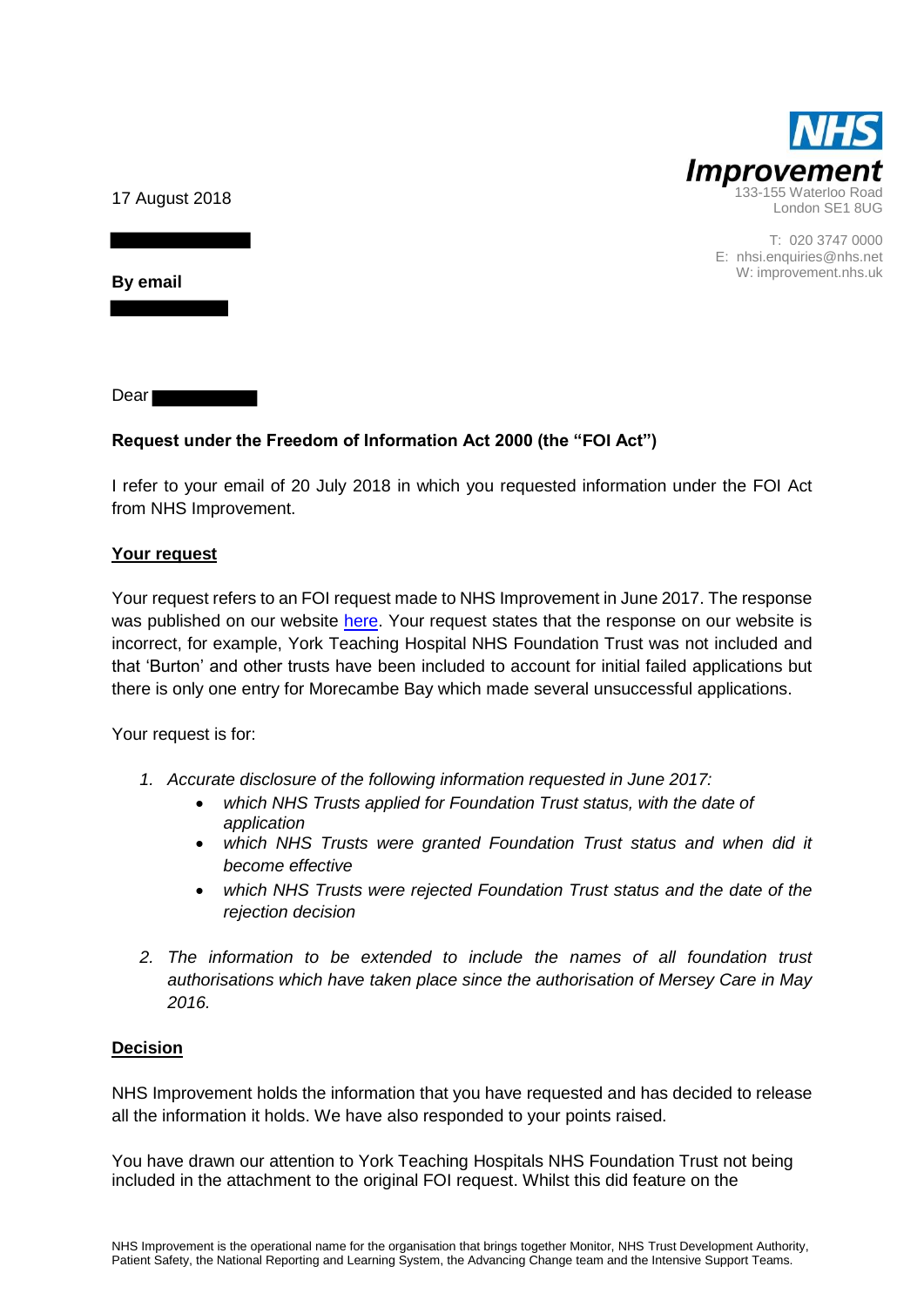

T: 020 3747 0000 E: nhsi.enquiries@nhs.net W: improvement.nhs.uk

17 August 2018

**By email**

Dear **Dear** 

## **Request under the Freedom of Information Act 2000 (the "FOI Act")**

I refer to your email of 20 July 2018 in which you requested information under the FOI Act from NHS Improvement.

### **Your request**

Your request refers to an FOI request made to NHS Improvement in June 2017. The response was published on our website [here.](https://improvement.nhs.uk/about-us/corporate-publications/publications/FOI-applications-for-foundation-trust-status/) Your request states that the response on our website is incorrect, for example, York Teaching Hospital NHS Foundation Trust was not included and that 'Burton' and other trusts have been included to account for initial failed applications but there is only one entry for Morecambe Bay which made several unsuccessful applications.

Your request is for:

- *1. Accurate disclosure of the following information requested in June 2017:*
	- *which NHS Trusts applied for Foundation Trust status, with the date of application*
	- *which NHS Trusts were granted Foundation Trust status and when did it become effective*
	- *which NHS Trusts were rejected Foundation Trust status and the date of the rejection decision*
- *2. The information to be extended to include the names of all foundation trust authorisations which have taken place since the authorisation of Mersey Care in May 2016.*

### **Decision**

NHS Improvement holds the information that you have requested and has decided to release all the information it holds. We have also responded to your points raised.

You have drawn our attention to York Teaching Hospitals NHS Foundation Trust not being included in the attachment to the original FOI request. Whilst this did feature on the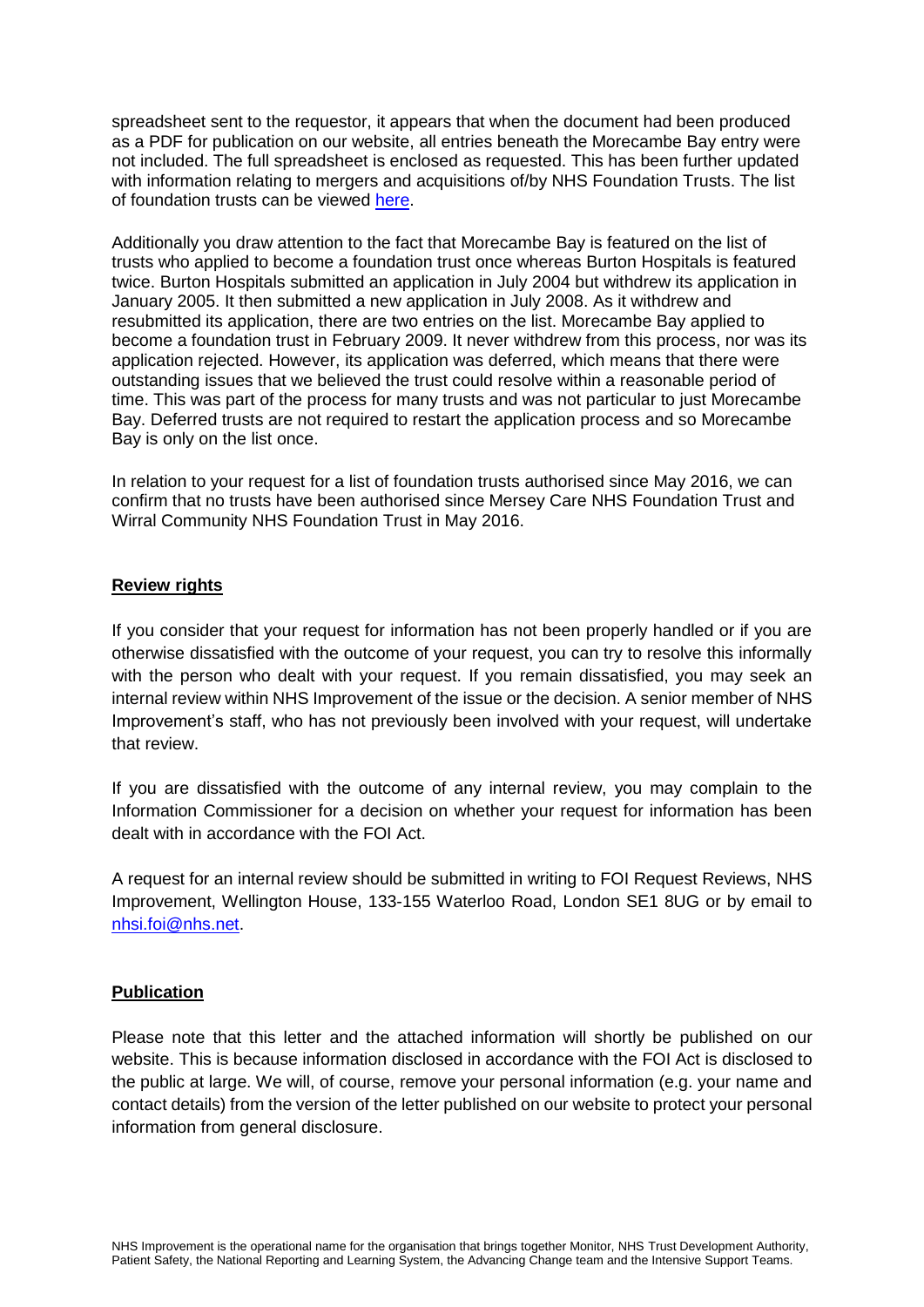spreadsheet sent to the requestor, it appears that when the document had been produced as a PDF for publication on our website, all entries beneath the Morecambe Bay entry were not included. The full spreadsheet is enclosed as requested. This has been further updated with information relating to mergers and acquisitions of/by NHS Foundation Trusts. The list of foundation trusts can be viewed [here.](https://www.gov.uk/government/publications/nhs-foundation-trust-directory/nhs-foundation-trust-directory)

Additionally you draw attention to the fact that Morecambe Bay is featured on the list of trusts who applied to become a foundation trust once whereas Burton Hospitals is featured twice. Burton Hospitals submitted an application in July 2004 but withdrew its application in January 2005. It then submitted a new application in July 2008. As it withdrew and resubmitted its application, there are two entries on the list. Morecambe Bay applied to become a foundation trust in February 2009. It never withdrew from this process, nor was its application rejected. However, its application was deferred, which means that there were outstanding issues that we believed the trust could resolve within a reasonable period of time. This was part of the process for many trusts and was not particular to just Morecambe Bay. Deferred trusts are not required to restart the application process and so Morecambe Bay is only on the list once.

In relation to your request for a list of foundation trusts authorised since May 2016, we can confirm that no trusts have been authorised since Mersey Care NHS Foundation Trust and Wirral Community NHS Foundation Trust in May 2016.

#### **Review rights**

If you consider that your request for information has not been properly handled or if you are otherwise dissatisfied with the outcome of your request, you can try to resolve this informally with the person who dealt with your request. If you remain dissatisfied, you may seek an internal review within NHS Improvement of the issue or the decision. A senior member of NHS Improvement's staff, who has not previously been involved with your request, will undertake that review.

If you are dissatisfied with the outcome of any internal review, you may complain to the Information Commissioner for a decision on whether your request for information has been dealt with in accordance with the FOI Act.

A request for an internal review should be submitted in writing to FOI Request Reviews, NHS Improvement, Wellington House, 133-155 Waterloo Road, London SE1 8UG or by email to [nhsi.foi@nhs.net.](mailto:nhsi.foi@nhs.net)

#### **Publication**

Please note that this letter and the attached information will shortly be published on our website. This is because information disclosed in accordance with the FOI Act is disclosed to the public at large. We will, of course, remove your personal information (e.g. your name and contact details) from the version of the letter published on our website to protect your personal information from general disclosure.